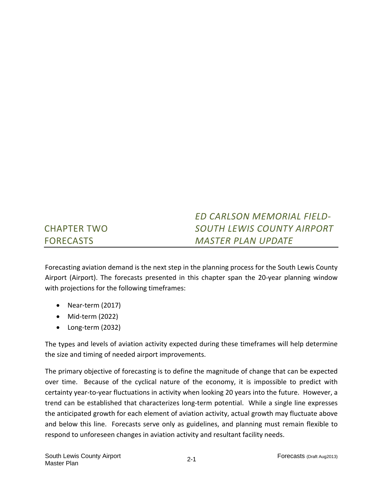#### CHAPTER TWO FORECASTS *ED CARLSON MEMORIAL FIELD‐ SOUTH LEWIS COUNTY AIRPORT MASTER PLAN UPDATE*

Forecasting aviation demand is the next step in the planning process for the South Lewis County Airport (Airport). The forecasts presented in this chapter span the 20‐year planning window with projections for the following timeframes:

- Near-term (2017)
- Mid-term (2022)
- Long-term (2032)

The types and levels of aviation activity expected during these timeframes will help determine the size and timing of needed airport improvements.

The primary objective of forecasting is to define the magnitude of change that can be expected over time. Because of the cyclical nature of the economy, it is impossible to predict with certainty year-to-year fluctuations in activity when looking 20 years into the future. However, a trend can be established that characterizes long‐term potential. While a single line expresses the anticipated growth for each element of aviation activity, actual growth may fluctuate above and below this line. Forecasts serve only as guidelines, and planning must remain flexible to respond to unforeseen changes in aviation activity and resultant facility needs.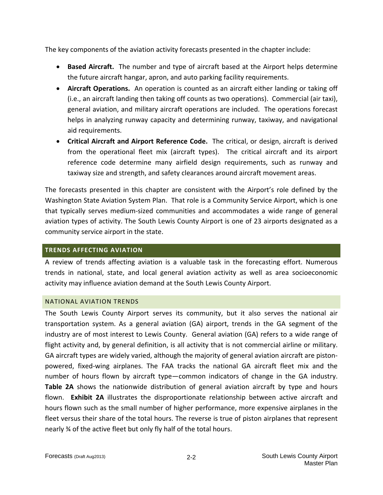The key components of the aviation activity forecasts presented in the chapter include:

- **Based Aircraft.** The number and type of aircraft based at the Airport helps determine the future aircraft hangar, apron, and auto parking facility requirements.
- **Aircraft Operations.** An operation is counted as an aircraft either landing or taking off (i.e., an aircraft landing then taking off counts as two operations). Commercial (air taxi), general aviation, and military aircraft operations are included. The operations forecast helps in analyzing runway capacity and determining runway, taxiway, and navigational aid requirements.
- **Critical Aircraft and Airport Reference Code.** The critical, or design, aircraft is derived from the operational fleet mix (aircraft types). The critical aircraft and its airport reference code determine many airfield design requirements, such as runway and taxiway size and strength, and safety clearances around aircraft movement areas.

The forecasts presented in this chapter are consistent with the Airport's role defined by the Washington State Aviation System Plan. That role is a Community Service Airport, which is one that typically serves medium‐sized communities and accommodates a wide range of general aviation types of activity. The South Lewis County Airport is one of 23 airports designated as a community service airport in the state.

#### **TRENDS AFFECTING AVIATION**

A review of trends affecting aviation is a valuable task in the forecasting effort. Numerous trends in national, state, and local general aviation activity as well as area socioeconomic activity may influence aviation demand at the South Lewis County Airport.

#### NATIONAL AVIATION TRENDS

The South Lewis County Airport serves its community, but it also serves the national air transportation system. As a general aviation (GA) airport, trends in the GA segment of the industry are of most interest to Lewis County. General aviation (GA) refers to a wide range of flight activity and, by general definition, is all activity that is not commercial airline or military. GA aircraft types are widely varied, although the majority of general aviation aircraft are piston‐ powered, fixed‐wing airplanes. The FAA tracks the national GA aircraft fleet mix and the number of hours flown by aircraft type—common indicators of change in the GA industry. **Table 2A** shows the nationwide distribution of general aviation aircraft by type and hours flown. **Exhibit 2A** illustrates the disproportionate relationship between active aircraft and hours flown such as the small number of higher performance, more expensive airplanes in the fleet versus their share of the total hours. The reverse is true of piston airplanes that represent nearly ¾ of the active fleet but only fly half of the total hours.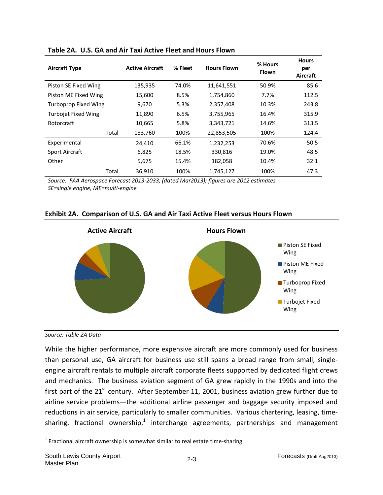| <b>Aircraft Type</b>        | <b>Active Aircraft</b> | % Fleet | <b>Hours Flown</b> | % Hours<br><b>Flown</b> | <b>Hours</b><br>per<br>Aircraft |
|-----------------------------|------------------------|---------|--------------------|-------------------------|---------------------------------|
| Piston SE Fixed Wing        | 135,935                | 74.0%   | 11,641,551         | 50.9%                   | 85.6                            |
| Piston ME Fixed Wing        | 15,600                 | 8.5%    | 1,754,860          | 7.7%                    | 112.5                           |
| <b>Turboprop Fixed Wing</b> | 9,670                  | 5.3%    | 2,357,408          | 10.3%                   | 243.8                           |
| <b>Turbojet Fixed Wing</b>  | 11,890                 | 6.5%    | 3,755,965          | 16.4%                   | 315.9                           |
| Rotorcraft                  | 10,665                 | 5.8%    | 3,343,721          | 14.6%                   | 313.5                           |
| Total                       | 183,760                | 100%    | 22,853,505         | 100%                    | 124.4                           |
| Experimental                | 24.410                 | 66.1%   | 1,232,253          | 70.6%                   | 50.5                            |
| <b>Sport Aircraft</b>       | 6,825                  | 18.5%   | 330,816            | 19.0%                   | 48.5                            |
| Other                       | 5,675                  | 15.4%   | 182,058            | 10.4%                   | 32.1                            |
| Total                       | 36,910                 | 100%    | 1,745,127          | 100%                    | 47.3                            |

#### **Table 2A. U.S. GA and Air Taxi Active Fleet and Hours Flown**

*Source: FAA Aerospace Forecast 2013‐2033, (dated Mar2013); figures are 2012 estimates. SE=single engine, ME=multi‐engine* 

### **Exhibit 2A. Comparison of U.S. GA and Air Taxi Active Fleet versus Hours Flown**



*Source: Table 2A Data*

While the higher performance, more expensive aircraft are more commonly used for business than personal use, GA aircraft for business use still spans a broad range from small, single‐ engine aircraft rentals to multiple aircraft corporate fleets supported by dedicated flight crews and mechanics. The business aviation segment of GA grew rapidly in the 1990s and into the first part of the  $21^{st}$  century. After September 11, 2001, business aviation grew further due to airline service problems—the additional airline passenger and baggage security imposed and reductions in air service, particularly to smaller communities. Various chartering, leasing, time‐ sharing, fractional ownership,<sup>1</sup> interchange agreements, partnerships and management

 $\overline{a}$ 

<sup>&</sup>lt;sup>1</sup> Fractional aircraft ownership is somewhat similar to real estate time-sharing.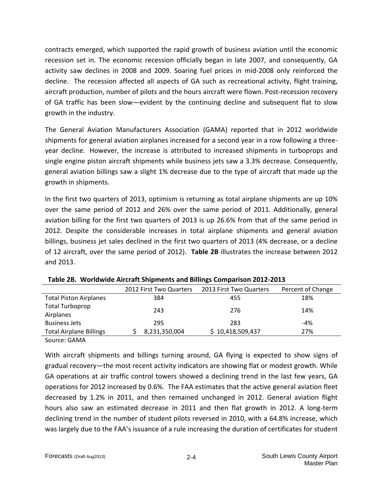contracts emerged, which supported the rapid growth of business aviation until the economic recession set in. The economic recession officially began in late 2007, and consequently, GA activity saw declines in 2008 and 2009. Soaring fuel prices in mid‐2008 only reinforced the decline. The recession affected all aspects of GA such as recreational activity, flight training, aircraft production, number of pilots and the hours aircraft were flown. Post-recession recovery of GA traffic has been slow—evident by the continuing decline and subsequent flat to slow growth in the industry.

The General Aviation Manufacturers Association (GAMA) reported that in 2012 worldwide shipments for general aviation airplanes increased for a second year in a row following a three‐ year decline. However, the increase is attributed to increased shipments in turboprops and single engine piston aircraft shipments while business jets saw a 3.3% decrease. Consequently, general aviation billings saw a slight 1% decrease due to the type of aircraft that made up the growth in shipments.

In the first two quarters of 2013, optimism is returning as total airplane shipments are up 10% over the same period of 2012 and 26% over the same period of 2011. Additionally, general aviation billing for the first two quarters of 2013 is up 26.6% from that of the same period in 2012. Despite the considerable increases in total airplane shipments and general aviation billings, business jet sales declined in the first two quarters of 2013 (4% decrease, or a decline of 12 aircraft, over the same period of 2012). **Table 2B** illustrates the increase between 2012 and 2013.

|                                     |     | 2012 First Two Quarters | 2013 First Two Quarters |  | Percent of Change |
|-------------------------------------|-----|-------------------------|-------------------------|--|-------------------|
| <b>Total Piston Airplanes</b>       |     | 384                     | 455                     |  | 18%               |
| <b>Total Turboprop</b><br>Airplanes | 243 |                         | 276                     |  | 14%               |
| <b>Business Jets</b>                |     | 295                     | 283                     |  | $-4%$             |
| <b>Total Airplane Billings</b>      |     | 8,231,350,004           | \$10,418,509,437        |  | 27%               |
|                                     |     |                         |                         |  |                   |

|  |  |  |  |  | Table 2B. Worldwide Aircraft Shipments and Billings Comparison 2012-2013 |  |
|--|--|--|--|--|--------------------------------------------------------------------------|--|
|--|--|--|--|--|--------------------------------------------------------------------------|--|

Source: GAMA

With aircraft shipments and billings turning around, GA flying is expected to show signs of gradual recovery—the most recent activity indicators are showing flat or modest growth. While GA operations at air traffic control towers showed a declining trend in the last few years, GA operations for 2012 increased by 0.6%. The FAA estimates that the active general aviation fleet decreased by 1.2% in 2011, and then remained unchanged in 2012. General aviation flight hours also saw an estimated decrease in 2011 and then flat growth in 2012. A long-term declining trend in the number of student pilots reversed in 2010, with a 64.8% increase, which was largely due to the FAA's issuance of a rule increasing the duration of certificates for student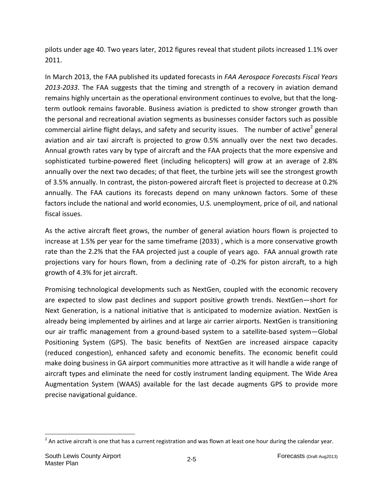pilots under age 40. Two years later, 2012 figures reveal that student pilots increased 1.1% over 2011.

In March 2013, the FAA published its updated forecasts in *FAA Aerospace Forecasts Fiscal Years 2013‐2033*. The FAA suggests that the timing and strength of a recovery in aviation demand remains highly uncertain as the operational environment continues to evolve, but that the long‐ term outlook remains favorable. Business aviation is predicted to show stronger growth than the personal and recreational aviation segments as businesses consider factors such as possible commercial airline flight delays, and safety and security issues. The number of active<sup>2</sup> general aviation and air taxi aircraft is projected to grow 0.5% annually over the next two decades. Annual growth rates vary by type of aircraft and the FAA projects that the more expensive and sophisticated turbine-powered fleet (including helicopters) will grow at an average of 2.8% annually over the next two decades; of that fleet, the turbine jets will see the strongest growth of 3.5% annually. In contrast, the piston‐powered aircraft fleet is projected to decrease at 0.2% annually. The FAA cautions its forecasts depend on many unknown factors. Some of these factors include the national and world economies, U.S. unemployment, price of oil, and national fiscal issues.

As the active aircraft fleet grows, the number of general aviation hours flown is projected to increase at 1.5% per year for the same timeframe (2033) , which is a more conservative growth rate than the 2.2% that the FAA projected just a couple of years ago. FAA annual growth rate projections vary for hours flown, from a declining rate of ‐0.2% for piston aircraft, to a high growth of 4.3% for jet aircraft.

Promising technological developments such as NextGen, coupled with the economic recovery are expected to slow past declines and support positive growth trends. NextGen—short for Next Generation, is a national initiative that is anticipated to modernize aviation. NextGen is already being implemented by airlines and at large air carrier airports. NextGen is transitioning our air traffic management from a ground‐based system to a satellite‐based system—Global Positioning System (GPS). The basic benefits of NextGen are increased airspace capacity (reduced congestion), enhanced safety and economic benefits. The economic benefit could make doing business in GA airport communities more attractive as it will handle a wide range of aircraft types and eliminate the need for costly instrument landing equipment. The Wide Area Augmentation System (WAAS) available for the last decade augments GPS to provide more precise navigational guidance.

 $\overline{a}$ 

 $2$  An active aircraft is one that has a current registration and was flown at least one hour during the calendar year.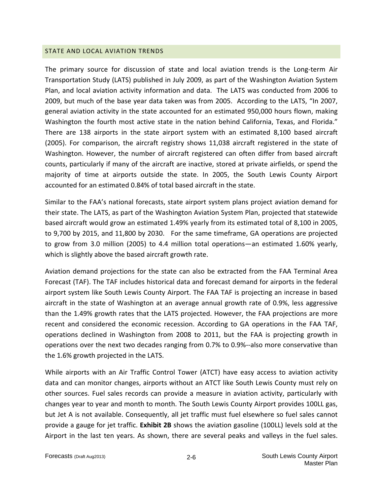#### STATE AND LOCAL AVIATION TRENDS

The primary source for discussion of state and local aviation trends is the Long‐term Air Transportation Study (LATS) published in July 2009, as part of the Washington Aviation System Plan, and local aviation activity information and data. The LATS was conducted from 2006 to 2009, but much of the base year data taken was from 2005. According to the LATS, "In 2007, general aviation activity in the state accounted for an estimated 950,000 hours flown, making Washington the fourth most active state in the nation behind California, Texas, and Florida." There are 138 airports in the state airport system with an estimated 8,100 based aircraft (2005). For comparison, the aircraft registry shows 11,038 aircraft registered in the state of Washington. However, the number of aircraft registered can often differ from based aircraft counts, particularly if many of the aircraft are inactive, stored at private airfields, or spend the majority of time at airports outside the state. In 2005, the South Lewis County Airport accounted for an estimated 0.84% of total based aircraft in the state.

Similar to the FAA's national forecasts, state airport system plans project aviation demand for their state. The LATS, as part of the Washington Aviation System Plan, projected that statewide based aircraft would grow an estimated 1.49% yearly from its estimated total of 8,100 in 2005, to 9,700 by 2015, and 11,800 by 2030. For the same timeframe, GA operations are projected to grow from 3.0 million (2005) to 4.4 million total operations—an estimated 1.60% yearly, which is slightly above the based aircraft growth rate.

Aviation demand projections for the state can also be extracted from the FAA Terminal Area Forecast (TAF). The TAF includes historical data and forecast demand for airports in the federal airport system like South Lewis County Airport. The FAA TAF is projecting an increase in based aircraft in the state of Washington at an average annual growth rate of 0.9%, less aggressive than the 1.49% growth rates that the LATS projected. However, the FAA projections are more recent and considered the economic recession. According to GA operations in the FAA TAF, operations declined in Washington from 2008 to 2011, but the FAA is projecting growth in operations over the next two decades ranging from 0.7% to 0.9%‐‐also more conservative than the 1.6% growth projected in the LATS.

While airports with an Air Traffic Control Tower (ATCT) have easy access to aviation activity data and can monitor changes, airports without an ATCT like South Lewis County must rely on other sources. Fuel sales records can provide a measure in aviation activity, particularly with changes year to year and month to month. The South Lewis County Airport provides 100LL gas, but Jet A is not available. Consequently, all jet traffic must fuel elsewhere so fuel sales cannot provide a gauge for jet traffic. **Exhibit 2B** shows the aviation gasoline (100LL) levels sold at the Airport in the last ten years. As shown, there are several peaks and valleys in the fuel sales.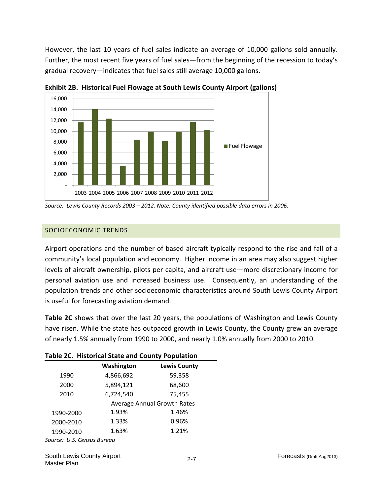However, the last 10 years of fuel sales indicate an average of 10,000 gallons sold annually. Further, the most recent five years of fuel sales—from the beginning of the recession to today's gradual recovery—indicates that fuel sales still average 10,000 gallons.



**Exhibit 2B. Historical Fuel Flowage at South Lewis County Airport (gallons)** 

## SOCIOECONOMIC TRENDS

Airport operations and the number of based aircraft typically respond to the rise and fall of a community's local population and economy. Higher income in an area may also suggest higher levels of aircraft ownership, pilots per capita, and aircraft use—more discretionary income for personal aviation use and increased business use. Consequently, an understanding of the population trends and other socioeconomic characteristics around South Lewis County Airport is useful for forecasting aviation demand.

**Table 2C** shows that over the last 20 years, the populations of Washington and Lewis County have risen. While the state has outpaced growth in Lewis County, the County grew an average of nearly 1.5% annually from 1990 to 2000, and nearly 1.0% annually from 2000 to 2010.

|           | Table 2C. Historical State and County Population |                                    |  |  |  |  |  |
|-----------|--------------------------------------------------|------------------------------------|--|--|--|--|--|
|           | Washington                                       | <b>Lewis County</b>                |  |  |  |  |  |
| 1990      | 4,866,692                                        | 59,358                             |  |  |  |  |  |
| 2000      | 5,894,121                                        | 68,600                             |  |  |  |  |  |
| 2010      | 6,724,540                                        | 75,455                             |  |  |  |  |  |
|           |                                                  | <b>Average Annual Growth Rates</b> |  |  |  |  |  |
| 1990-2000 | 1.93%                                            | 1.46%                              |  |  |  |  |  |
| 2000-2010 | 1.33%                                            | 0.96%                              |  |  |  |  |  |
| 1990-2010 | 1.63%                                            | 1.21%                              |  |  |  |  |  |
|           |                                                  |                                    |  |  |  |  |  |

**Table 2C. Historical State and County Population**

*Source: U.S. Census Bureau*

*Source: Lewis County Records 2003 – 2012. Note: County identified possible data errors in 2006.*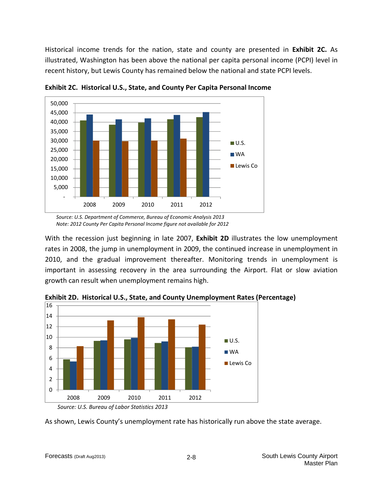Historical income trends for the nation, state and county are presented in **Exhibit 2C.** As illustrated, Washington has been above the national per capita personal income (PCPI) level in recent history, but Lewis County has remained below the national and state PCPI levels.



**Exhibit 2C. Historical U.S., State, and County Per Capita Personal Income**

With the recession just beginning in late 2007, **Exhibit 2D** illustrates the low unemployment rates in 2008, the jump in unemployment in 2009, the continued increase in unemployment in 2010, and the gradual improvement thereafter. Monitoring trends in unemployment is important in assessing recovery in the area surrounding the Airport. Flat or slow aviation growth can result when unemployment remains high.



**Exhibit 2D. Historical U.S., State, and County Unemployment Rates (Percentage)**

As shown, Lewis County's unemployment rate has historically run above the state average.

*Source: U.S. Department of Commerce, Bureau of Economic Analysis 2013 Note: 2012 County Per Capita Personal Income figure not available for 2012*

*Source: U.S. Bureau of Labor Statistics 2013*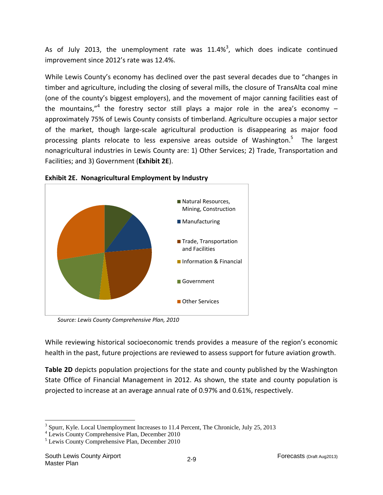As of July 2013, the unemployment rate was  $11.4\%$ <sup>3</sup>, which does indicate continued improvement since 2012's rate was 12.4%.

While Lewis County's economy has declined over the past several decades due to "changes in timber and agriculture, including the closing of several mills, the closure of TransAlta coal mine (one of the county's biggest employers), and the movement of major canning facilities east of the mountains,"<sup>4</sup> the forestry sector still plays a major role in the area's economy  $$ approximately 75% of Lewis County consists of timberland. Agriculture occupies a major sector of the market, though large‐scale agricultural production is disappearing as major food processing plants relocate to less expensive areas outside of Washington.<sup>5</sup> The largest nonagricultural industries in Lewis County are: 1) Other Services; 2) Trade, Transportation and Facilities; and 3) Government (**Exhibit 2E**).



**Exhibit 2E. Nonagricultural Employment by Industry**

*Source: Lewis County Comprehensive Plan, 2010*

While reviewing historical socioeconomic trends provides a measure of the region's economic health in the past, future projections are reviewed to assess support for future aviation growth.

**Table 2D** depicts population projections for the state and county published by the Washington State Office of Financial Management in 2012. As shown, the state and county population is projected to increase at an average annual rate of 0.97% and 0.61%, respectively.

 $\overline{a}$ 

 $3$  Spurr, Kyle. Local Unemployment Increases to 11.4 Percent, The Chronicle, July 25, 2013

Lewis County Comprehensive Plan, December 2010

<sup>5</sup> Lewis County Comprehensive Plan, December 2010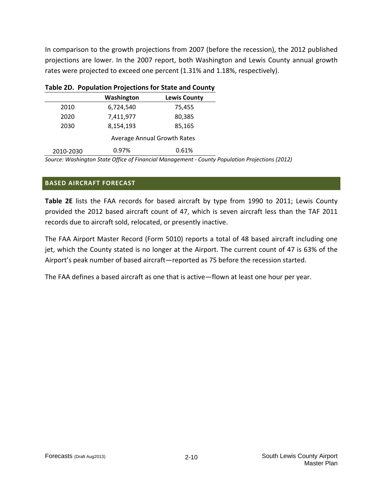In comparison to the growth projections from 2007 (before the recession), the 2012 published projections are lower. In the 2007 report, both Washington and Lewis County annual growth rates were projected to exceed one percent (1.31% and 1.18%, respectively).

|           | Table ZD. Population Projections for State and County |                                    |  |  |  |  |
|-----------|-------------------------------------------------------|------------------------------------|--|--|--|--|
|           | Washington                                            | <b>Lewis County</b>                |  |  |  |  |
| 2010      | 6,724,540                                             | 75,455                             |  |  |  |  |
| 2020      | 7,411,977                                             | 80,385                             |  |  |  |  |
| 2030      | 8,154,193                                             | 85,165                             |  |  |  |  |
|           |                                                       | <b>Average Annual Growth Rates</b> |  |  |  |  |
| 2010-2030 | 0.97%                                                 | 0.61%                              |  |  |  |  |

# **Table 2D. Population Projections for State and County**

*Source: Washington State Office of Financial Management ‐ County Population Projections (2012)* 

### **BASED AIRCRAFT FORECAST**

**Table 2E** lists the FAA records for based aircraft by type from 1990 to 2011; Lewis County provided the 2012 based aircraft count of 47, which is seven aircraft less than the TAF 2011 records due to aircraft sold, relocated, or presently inactive.

The FAA Airport Master Record (Form 5010) reports a total of 48 based aircraft including one jet, which the County stated is no longer at the Airport. The current count of 47 is 63% of the Airport's peak number of based aircraft—reported as 75 before the recession started.

The FAA defines a based aircraft as one that is active—flown at least one hour per year.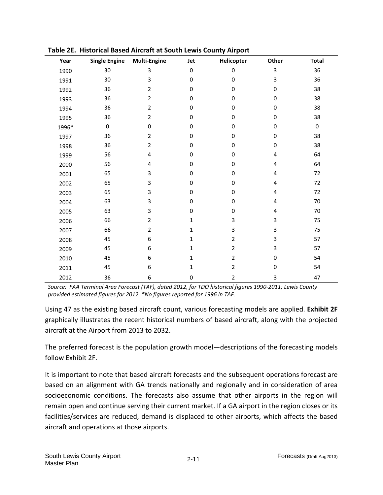| Year  | <b>Single Engine</b> | <b>Multi-Engine</b> | Jet          | Helicopter     | Other            | <b>Total</b>     |
|-------|----------------------|---------------------|--------------|----------------|------------------|------------------|
| 1990  | 30                   | 3                   | $\pmb{0}$    | 0              | $\mathbf{3}$     | 36               |
| 1991  | 30                   | 3                   | 0            | 0              | 3                | 36               |
| 1992  | 36                   | 2                   | 0            | $\pmb{0}$      | $\pmb{0}$        | 38               |
| 1993  | 36                   | 2                   | 0            | 0              | $\boldsymbol{0}$ | 38               |
| 1994  | 36                   | $\overline{2}$      | 0            | $\pmb{0}$      | $\boldsymbol{0}$ | 38               |
| 1995  | 36                   | $\overline{2}$      | 0            | 0              | $\boldsymbol{0}$ | 38               |
| 1996* | $\pmb{0}$            | $\boldsymbol{0}$    | 0            | 0              | 0                | $\boldsymbol{0}$ |
| 1997  | 36                   | $\overline{2}$      | 0            | $\pmb{0}$      | $\boldsymbol{0}$ | 38               |
| 1998  | 36                   | 2                   | 0            | $\pmb{0}$      | $\boldsymbol{0}$ | 38               |
| 1999  | 56                   | 4                   | 0            | 0              | 4                | 64               |
| 2000  | 56                   | 4                   | 0            | $\mathbf 0$    | 4                | 64               |
| 2001  | 65                   | 3                   | $\Omega$     | $\mathbf 0$    | 4                | 72               |
| 2002  | 65                   | 3                   | 0            | $\mathbf 0$    | 4                | 72               |
| 2003  | 65                   | 3                   | 0            | 0              | $\overline{4}$   | 72               |
| 2004  | 63                   | 3                   | 0            | 0              | 4                | 70               |
| 2005  | 63                   | 3                   | 0            | $\pmb{0}$      | 4                | 70               |
| 2006  | 66                   | $\overline{2}$      | 1            | 3              | 3                | 75               |
| 2007  | 66                   | 2                   | 1            | 3              | 3                | 75               |
| 2008  | 45                   | 6                   | 1            | $\overline{2}$ | 3                | 57               |
| 2009  | 45                   | 6                   | 1            | $\overline{2}$ | 3                | 57               |
| 2010  | 45                   | 6                   | $\mathbf{1}$ | $\overline{2}$ | 0                | 54               |
| 2011  | 45                   | 6                   | $\mathbf{1}$ | $\overline{2}$ | $\boldsymbol{0}$ | 54               |
| 2012  | 36                   | 6                   | 0            | $\overline{2}$ | 3                | 47               |

**Table 2E. Historical Based Aircraft at South Lewis County Airport**

Source: FAA Terminal Area Forecast (TAF), dated 2012, for TDO historical figures 1990-2011; Lewis County *provided estimated figures for 2012. \*No figures reported for 1996 in TAF.*

Using 47 as the existing based aircraft count, various forecasting models are applied. **Exhibit 2F** graphically illustrates the recent historical numbers of based aircraft, along with the projected aircraft at the Airport from 2013 to 2032.

The preferred forecast is the population growth model—descriptions of the forecasting models follow Exhibit 2F.

It is important to note that based aircraft forecasts and the subsequent operations forecast are based on an alignment with GA trends nationally and regionally and in consideration of area socioeconomic conditions. The forecasts also assume that other airports in the region will remain open and continue serving their current market. If a GA airport in the region closes or its facilities/services are reduced, demand is displaced to other airports, which affects the based aircraft and operations at those airports.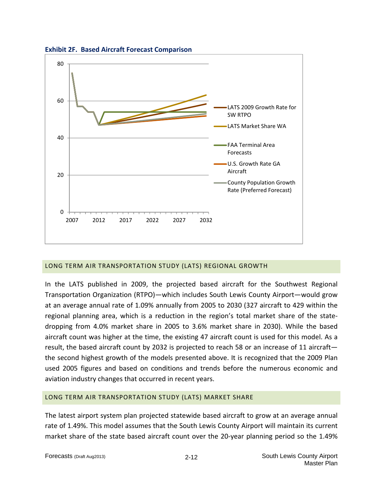

**Exhibit 2F. Based Aircraft Forecast Comparison**

### LONG TERM AIR TRANSPORTATION STUDY (LATS) REGIONAL GROWTH

2007 2012 2017 2022 2027 2032

In the LATS published in 2009, the projected based aircraft for the Southwest Regional Transportation Organization (RTPO)—which includes South Lewis County Airport—would grow at an average annual rate of 1.09% annually from 2005 to 2030 (327 aircraft to 429 within the regional planning area, which is a reduction in the region's total market share of the state‐ dropping from 4.0% market share in 2005 to 3.6% market share in 2030). While the based aircraft count was higher at the time, the existing 47 aircraft count is used for this model. As a result, the based aircraft count by 2032 is projected to reach 58 or an increase of 11 aircraft the second highest growth of the models presented above. It is recognized that the 2009 Plan used 2005 figures and based on conditions and trends before the numerous economic and aviation industry changes that occurred in recent years.

### LONG TERM AIR TRANSPORTATION STUDY (LATS) MARKET SHARE

The latest airport system plan projected statewide based aircraft to grow at an average annual rate of 1.49%. This model assumes that the South Lewis County Airport will maintain its current market share of the state based aircraft count over the 20-year planning period so the 1.49%

 $\Omega$ 

Rate (Preferred Forecast)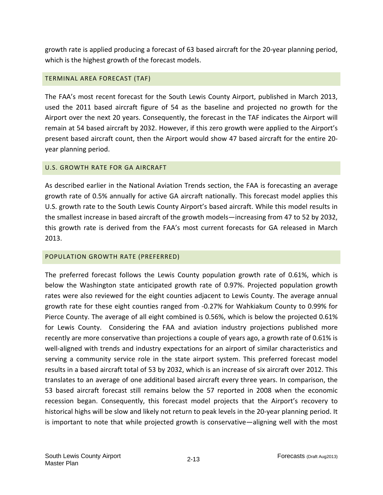growth rate is applied producing a forecast of 63 based aircraft for the 20‐year planning period, which is the highest growth of the forecast models.

### TERMINAL AREA FORECAST (TAF)

The FAA's most recent forecast for the South Lewis County Airport, published in March 2013, used the 2011 based aircraft figure of 54 as the baseline and projected no growth for the Airport over the next 20 years. Consequently, the forecast in the TAF indicates the Airport will remain at 54 based aircraft by 2032. However, if this zero growth were applied to the Airport's present based aircraft count, then the Airport would show 47 based aircraft for the entire 20‐ year planning period.

### U.S. GROWTH RATE FOR GA AIRCRAFT

As described earlier in the National Aviation Trends section, the FAA is forecasting an average growth rate of 0.5% annually for active GA aircraft nationally. This forecast model applies this U.S. growth rate to the South Lewis County Airport's based aircraft. While this model results in the smallest increase in based aircraft of the growth models—increasing from 47 to 52 by 2032, this growth rate is derived from the FAA's most current forecasts for GA released in March 2013.

### POPULATION GROWTH RATE (PREFERRED)

The preferred forecast follows the Lewis County population growth rate of 0.61%, which is below the Washington state anticipated growth rate of 0.97%. Projected population growth rates were also reviewed for the eight counties adjacent to Lewis County. The average annual growth rate for these eight counties ranged from ‐0.27% for Wahkiakum County to 0.99% for Pierce County. The average of all eight combined is 0.56%, which is below the projected 0.61% for Lewis County. Considering the FAA and aviation industry projections published more recently are more conservative than projections a couple of years ago, a growth rate of 0.61% is well-aligned with trends and industry expectations for an airport of similar characteristics and serving a community service role in the state airport system. This preferred forecast model results in a based aircraft total of 53 by 2032, which is an increase of six aircraft over 2012. This translates to an average of one additional based aircraft every three years. In comparison, the 53 based aircraft forecast still remains below the 57 reported in 2008 when the economic recession began. Consequently, this forecast model projects that the Airport's recovery to historical highs will be slow and likely not return to peak levels in the 20-year planning period. It is important to note that while projected growth is conservative—aligning well with the most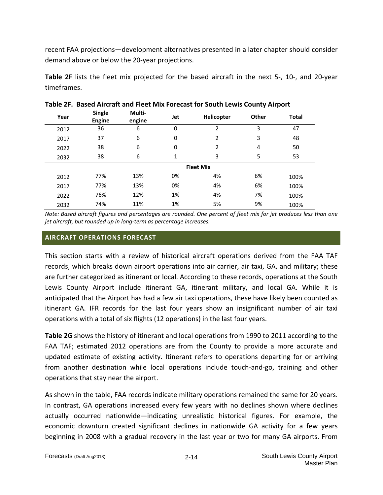recent FAA projections—development alternatives presented in a later chapter should consider demand above or below the 20‐year projections.

**Table 2F** lists the fleet mix projected for the based aircraft in the next 5‐, 10‐, and 20‐year timeframes.

| Year | <b>Single</b><br><b>Engine</b> | Multi-<br>engine | Jet | Helicopter     | Other | <b>Total</b> |  |  |
|------|--------------------------------|------------------|-----|----------------|-------|--------------|--|--|
| 2012 | 36                             | 6                | 0   | 2              | 3     | 47           |  |  |
| 2017 | 37                             | 6                | 0   | $\overline{2}$ | 3     | 48           |  |  |
| 2022 | 38                             | 6                | 0   | $\overline{2}$ | 4     | 50           |  |  |
| 2032 | 38                             | 6                | 1   | 3              | 5     | 53           |  |  |
|      | <b>Fleet Mix</b>               |                  |     |                |       |              |  |  |
| 2012 | 77%                            | 13%              | 0%  | 4%             | 6%    | 100%         |  |  |
| 2017 | 77%                            | 13%              | 0%  | 4%             | 6%    | 100%         |  |  |
| 2022 | 76%                            | 12%              | 1%  | 4%             | 7%    | 100%         |  |  |
| 2032 | 74%                            | 11%              | 1%  | 5%             | 9%    | 100%         |  |  |
|      |                                |                  |     |                |       |              |  |  |

**Table 2F. Based Aircraft and Fleet Mix Forecast for South Lewis County Airport**

Note: Based aircraft figures and percentages are rounded. One percent of fleet mix for jet produces less than one *jet aircraft, but rounded up in long‐term as percentage increases.* 

### **AIRCRAFT OPERATIONS FORECAST**

This section starts with a review of historical aircraft operations derived from the FAA TAF records, which breaks down airport operations into air carrier, air taxi, GA, and military; these are further categorized as itinerant or local. According to these records, operations at the South Lewis County Airport include itinerant GA, itinerant military, and local GA. While it is anticipated that the Airport has had a few air taxi operations, these have likely been counted as itinerant GA. IFR records for the last four years show an insignificant number of air taxi operations with a total of six flights (12 operations) in the last four years.

**Table 2G** shows the history of itinerant and local operations from 1990 to 2011 according to the FAA TAF; estimated 2012 operations are from the County to provide a more accurate and updated estimate of existing activity. Itinerant refers to operations departing for or arriving from another destination while local operations include touch-and-go, training and other operations that stay near the airport.

As shown in the table, FAA records indicate military operations remained the same for 20 years. In contrast, GA operations increased every few years with no declines shown where declines actually occurred nationwide—indicating unrealistic historical figures. For example, the economic downturn created significant declines in nationwide GA activity for a few years beginning in 2008 with a gradual recovery in the last year or two for many GA airports. From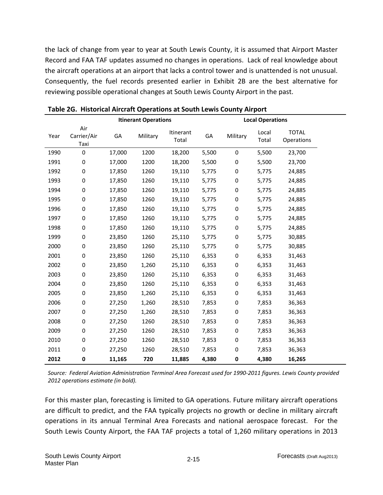the lack of change from year to year at South Lewis County, it is assumed that Airport Master Record and FAA TAF updates assumed no changes in operations. Lack of real knowledge about the aircraft operations at an airport that lacks a control tower and is unattended is not unusual. Consequently, the fuel records presented earlier in Exhibit 2B are the best alternative for reviewing possible operational changes at South Lewis County Airport in the past.

|      | <b>Itinerant Operations</b> |        |          |                    |       | <b>Local Operations</b> |                |                            |
|------|-----------------------------|--------|----------|--------------------|-------|-------------------------|----------------|----------------------------|
| Year | Air<br>Carrier/Air<br>Taxi  | GA     | Military | Itinerant<br>Total | GA    | Military                | Local<br>Total | <b>TOTAL</b><br>Operations |
| 1990 | 0                           | 17,000 | 1200     | 18,200             | 5,500 | 0                       | 5,500          | 23,700                     |
| 1991 | 0                           | 17,000 | 1200     | 18,200             | 5,500 | 0                       | 5,500          | 23,700                     |
| 1992 | $\pmb{0}$                   | 17,850 | 1260     | 19,110             | 5,775 | 0                       | 5,775          | 24,885                     |
| 1993 | $\pmb{0}$                   | 17,850 | 1260     | 19,110             | 5,775 | $\boldsymbol{0}$        | 5,775          | 24,885                     |
| 1994 | 0                           | 17,850 | 1260     | 19,110             | 5,775 | 0                       | 5,775          | 24,885                     |
| 1995 | 0                           | 17,850 | 1260     | 19,110             | 5,775 | 0                       | 5,775          | 24,885                     |
| 1996 | 0                           | 17,850 | 1260     | 19,110             | 5,775 | $\boldsymbol{0}$        | 5,775          | 24,885                     |
| 1997 | 0                           | 17,850 | 1260     | 19,110             | 5,775 | 0                       | 5,775          | 24,885                     |
| 1998 | 0                           | 17,850 | 1260     | 19,110             | 5,775 | 0                       | 5,775          | 24,885                     |
| 1999 | $\pmb{0}$                   | 23,850 | 1260     | 25,110             | 5,775 | $\boldsymbol{0}$        | 5,775          | 30,885                     |
| 2000 | 0                           | 23,850 | 1260     | 25,110             | 5,775 | 0                       | 5,775          | 30,885                     |
| 2001 | 0                           | 23,850 | 1260     | 25,110             | 6,353 | 0                       | 6,353          | 31,463                     |
| 2002 | $\pmb{0}$                   | 23,850 | 1,260    | 25,110             | 6,353 | $\boldsymbol{0}$        | 6,353          | 31,463                     |
| 2003 | $\boldsymbol{0}$            | 23,850 | 1260     | 25,110             | 6,353 | 0                       | 6,353          | 31,463                     |
| 2004 | 0                           | 23,850 | 1260     | 25,110             | 6,353 | 0                       | 6,353          | 31,463                     |
| 2005 | $\boldsymbol{0}$            | 23,850 | 1,260    | 25,110             | 6,353 | 0                       | 6,353          | 31,463                     |
| 2006 | $\pmb{0}$                   | 27,250 | 1,260    | 28,510             | 7,853 | $\boldsymbol{0}$        | 7,853          | 36,363                     |
| 2007 | $\boldsymbol{0}$            | 27,250 | 1,260    | 28,510             | 7,853 | 0                       | 7,853          | 36,363                     |
| 2008 | 0                           | 27,250 | 1260     | 28,510             | 7,853 | 0                       | 7,853          | 36,363                     |
| 2009 | $\pmb{0}$                   | 27,250 | 1260     | 28,510             | 7,853 | 0                       | 7,853          | 36,363                     |
| 2010 | 0                           | 27,250 | 1260     | 28,510             | 7,853 | 0                       | 7,853          | 36,363                     |
| 2011 | 0                           | 27,250 | 1260     | 28,510             | 7,853 | 0                       | 7,853          | 36,363                     |
| 2012 | 0                           | 11,165 | 720      | 11,885             | 4,380 | 0                       | 4,380          | 16,265                     |

**Table 2G. Historical Aircraft Operations at South Lewis County Airport**

Source: Federal Aviation Administration Terminal Area Forecast used for 1990-2011 figures. Lewis County provided *2012 operations estimate (in bold).*

For this master plan, forecasting is limited to GA operations. Future military aircraft operations are difficult to predict, and the FAA typically projects no growth or decline in military aircraft operations in its annual Terminal Area Forecasts and national aerospace forecast. For the South Lewis County Airport, the FAA TAF projects a total of 1,260 military operations in 2013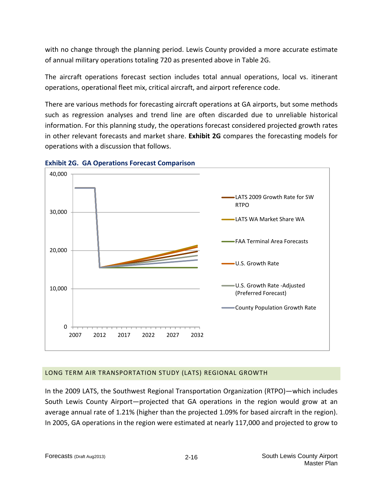with no change through the planning period. Lewis County provided a more accurate estimate of annual military operations totaling 720 as presented above in Table 2G.

The aircraft operations forecast section includes total annual operations, local vs. itinerant operations, operational fleet mix, critical aircraft, and airport reference code.

There are various methods for forecasting aircraft operations at GA airports, but some methods such as regression analyses and trend line are often discarded due to unreliable historical information. For this planning study, the operations forecast considered projected growth rates in other relevant forecasts and market share. **Exhibit 2G** compares the forecasting models for operations with a discussion that follows.





## LONG TERM AIR TRANSPORTATION STUDY (LATS) REGIONAL GROWTH

In the 2009 LATS, the Southwest Regional Transportation Organization (RTPO)—which includes South Lewis County Airport—projected that GA operations in the region would grow at an average annual rate of 1.21% (higher than the projected 1.09% for based aircraft in the region). In 2005, GA operations in the region were estimated at nearly 117,000 and projected to grow to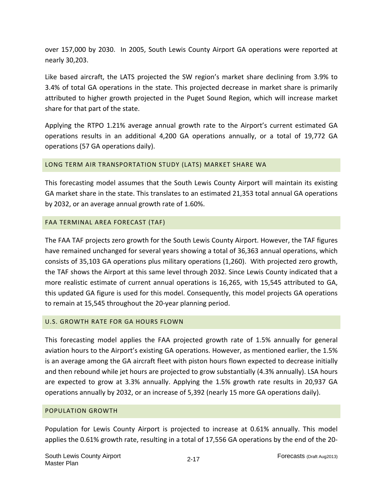over 157,000 by 2030. In 2005, South Lewis County Airport GA operations were reported at nearly 30,203.

Like based aircraft, the LATS projected the SW region's market share declining from 3.9% to 3.4% of total GA operations in the state. This projected decrease in market share is primarily attributed to higher growth projected in the Puget Sound Region, which will increase market share for that part of the state.

Applying the RTPO 1.21% average annual growth rate to the Airport's current estimated GA operations results in an additional 4,200 GA operations annually, or a total of 19,772 GA operations (57 GA operations daily).

## LONG TERM AIR TRANSPORTATION STUDY (LATS) MARKET SHARE WA

This forecasting model assumes that the South Lewis County Airport will maintain its existing GA market share in the state. This translates to an estimated 21,353 total annual GA operations by 2032, or an average annual growth rate of 1.60%.

### FAA TERMINAL AREA FORECAST (TAF)

The FAA TAF projects zero growth for the South Lewis County Airport. However, the TAF figures have remained unchanged for several years showing a total of 36,363 annual operations, which consists of 35,103 GA operations plus military operations (1,260). With projected zero growth, the TAF shows the Airport at this same level through 2032. Since Lewis County indicated that a more realistic estimate of current annual operations is 16,265, with 15,545 attributed to GA, this updated GA figure is used for this model. Consequently, this model projects GA operations to remain at 15,545 throughout the 20‐year planning period.

## U.S. GROWTH RATE FOR GA HOURS FLOWN

This forecasting model applies the FAA projected growth rate of 1.5% annually for general aviation hours to the Airport's existing GA operations. However, as mentioned earlier, the 1.5% is an average among the GA aircraft fleet with piston hours flown expected to decrease initially and then rebound while jet hours are projected to grow substantially (4.3% annually). LSA hours are expected to grow at 3.3% annually. Applying the 1.5% growth rate results in 20,937 GA operations annually by 2032, or an increase of 5,392 (nearly 15 more GA operations daily).

### POPULATION GROWTH

Population for Lewis County Airport is projected to increase at 0.61% annually. This model applies the 0.61% growth rate, resulting in a total of 17,556 GA operations by the end of the 20‐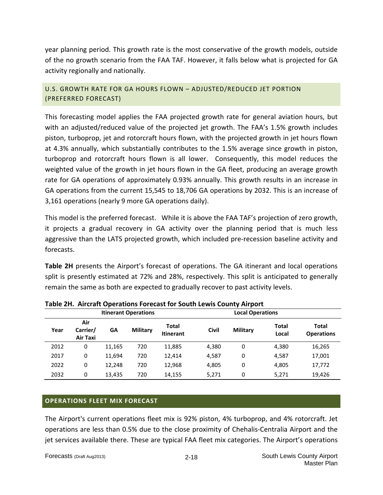year planning period. This growth rate is the most conservative of the growth models, outside of the no growth scenario from the FAA TAF. However, it falls below what is projected for GA activity regionally and nationally.

U.S. GROWTH RATE FOR GA HOURS FLOWN – ADJUSTED/REDUCED JET PORTION (PREFERRED FORECAST)

This forecasting model applies the FAA projected growth rate for general aviation hours, but with an adjusted/reduced value of the projected jet growth. The FAA's 1.5% growth includes piston, turboprop, jet and rotorcraft hours flown, with the projected growth in jet hours flown at 4.3% annually, which substantially contributes to the 1.5% average since growth in piston, turboprop and rotorcraft hours flown is all lower. Consequently, this model reduces the weighted value of the growth in jet hours flown in the GA fleet, producing an average growth rate for GA operations of approximately 0.93% annually. This growth results in an increase in GA operations from the current 15,545 to 18,706 GA operations by 2032. This is an increase of 3,161 operations (nearly 9 more GA operations daily).

This model is the preferred forecast. While it is above the FAA TAF's projection of zero growth, it projects a gradual recovery in GA activity over the planning period that is much less aggressive than the LATS projected growth, which included pre‐recession baseline activity and forecasts.

**Table 2H** presents the Airport's forecast of operations. The GA itinerant and local operations split is presently estimated at 72% and 28%, respectively. This split is anticipated to generally remain the same as both are expected to gradually recover to past activity levels.

|      |                             |        |                             | Table 2H. Aircraft Operations Forecast for South Lewis County Airport |              |                         |                |                            |
|------|-----------------------------|--------|-----------------------------|-----------------------------------------------------------------------|--------------|-------------------------|----------------|----------------------------|
|      |                             |        | <b>Itinerant Operations</b> |                                                                       |              | <b>Local Operations</b> |                |                            |
| Year | Air<br>Carrier/<br>Air Taxi | GА     | <b>Military</b>             | Total<br><b>Itinerant</b>                                             | <b>Civil</b> | <b>Military</b>         | Total<br>Local | Total<br><b>Operations</b> |
| 2012 | 0                           | 11,165 | 720                         | 11,885                                                                | 4,380        | 0                       | 4,380          | 16,265                     |
| 2017 | 0                           | 11,694 | 720                         | 12,414                                                                | 4,587        | 0                       | 4,587          | 17,001                     |
| 2022 | 0                           | 12.248 | 720                         | 12,968                                                                | 4.805        | 0                       | 4,805          | 17,772                     |
| 2032 | 0                           | 13,435 | 720                         | 14,155                                                                | 5,271        | 0                       | 5,271          | 19,426                     |

**Table 2H. Aircraft Operations Forecast for South Lewis County Airport**

## **OPERATIONS FLEET MIX FORECAST**

The Airport's current operations fleet mix is 92% piston, 4% turboprop, and 4% rotorcraft. Jet operations are less than 0.5% due to the close proximity of Chehalis‐Centralia Airport and the jet services available there. These are typical FAA fleet mix categories. The Airport's operations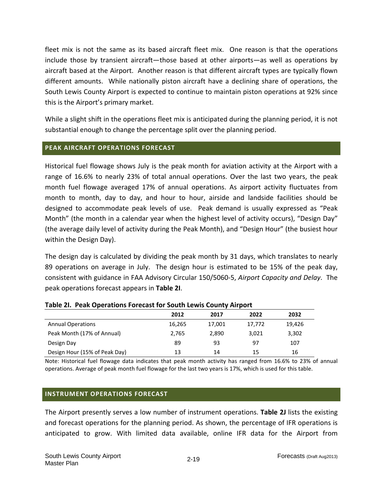fleet mix is not the same as its based aircraft fleet mix. One reason is that the operations include those by transient aircraft—those based at other airports—as well as operations by aircraft based at the Airport. Another reason is that different aircraft types are typically flown different amounts. While nationally piston aircraft have a declining share of operations, the South Lewis County Airport is expected to continue to maintain piston operations at 92% since this is the Airport's primary market.

While a slight shift in the operations fleet mix is anticipated during the planning period, it is not substantial enough to change the percentage split over the planning period.

## **PEAK AIRCRAFT OPERATIONS FORECAST**

Historical fuel flowage shows July is the peak month for aviation activity at the Airport with a range of 16.6% to nearly 23% of total annual operations. Over the last two years, the peak month fuel flowage averaged 17% of annual operations. As airport activity fluctuates from month to month, day to day, and hour to hour, airside and landside facilities should be designed to accommodate peak levels of use. Peak demand is usually expressed as "Peak Month" (the month in a calendar year when the highest level of activity occurs), "Design Day" (the average daily level of activity during the Peak Month), and "Design Hour" (the busiest hour within the Design Day).

The design day is calculated by dividing the peak month by 31 days, which translates to nearly 89 operations on average in July. The design hour is estimated to be 15% of the peak day, consistent with guidance in FAA Advisory Circular 150/5060‐5, *Airport Capacity and Delay*. The peak operations forecast appears in **Table 2I**.

|                               | 2012   | 2017   | 2022   | 2032   |
|-------------------------------|--------|--------|--------|--------|
| <b>Annual Operations</b>      | 16,265 | 17,001 | 17,772 | 19.426 |
| Peak Month (17% of Annual)    | 2,765  | 2.890  | 3,021  | 3,302  |
| Design Day                    | 89     | 93     | 97     | 107    |
| Design Hour (15% of Peak Day) | 13     | 14     | 15     | 16     |

### **Table 2I. Peak Operations Forecast for South Lewis County Airport**

Note: Historical fuel flowage data indicates that peak month activity has ranged from 16.6% to 23% of annual operations. Average of peak month fuel flowage for the last two years is 17%, which is used for this table.

### **INSTRUMENT OPERATIONS FORECAST**

The Airport presently serves a low number of instrument operations. **Table 2J** lists the existing and forecast operations for the planning period. As shown, the percentage of IFR operations is anticipated to grow. With limited data available, online IFR data for the Airport from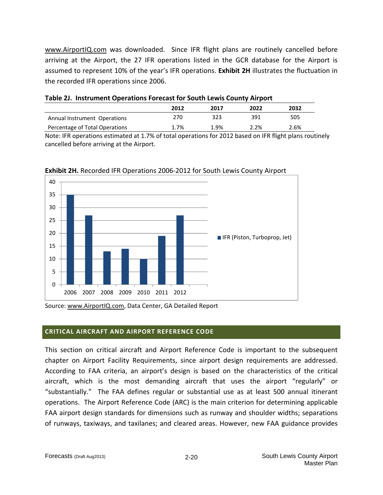www.AirportIQ.com was downloaded. Since IFR flight plans are routinely cancelled before arriving at the Airport, the 27 IFR operations listed in the GCR database for the Airport is assumed to represent 10% of the year's IFR operations. **Exhibit 2H** illustrates the fluctuation in the recorded IFR operations since 2006.

| Table 2J. Instrument Operations Forecast for South Lewis County Airport |      |      |      |      |  |  |  |
|-------------------------------------------------------------------------|------|------|------|------|--|--|--|
|                                                                         | 2012 | 2017 | 2022 | 2032 |  |  |  |
| Annual Instrument Operations                                            | 270. | 323  | 391  | 505  |  |  |  |

Percentage of Total Operations 1.7% 1.9% 2.2% 2.6%

Note: IFR operations estimated at 1.7% of total operations for 2012 based on IFR flight plans routinely cancelled before arriving at the Airport.



**Exhibit 2H.** Recorded IFR Operations 2006‐2012 for South Lewis County Airport

Source: www.AirportIQ.com, Data Center, GA Detailed Report

## **CRITICAL AIRCRAFT AND AIRPORT REFERENCE CODE**

This section on critical aircraft and Airport Reference Code is important to the subsequent chapter on Airport Facility Requirements, since airport design requirements are addressed. According to FAA criteria, an airport's design is based on the characteristics of the critical aircraft, which is the most demanding aircraft that uses the airport "regularly" or "substantially." The FAA defines regular or substantial use as at least 500 annual itinerant operations. The Airport Reference Code (ARC) is the main criterion for determining applicable FAA airport design standards for dimensions such as runway and shoulder widths; separations of runways, taxiways, and taxilanes; and cleared areas. However, new FAA guidance provides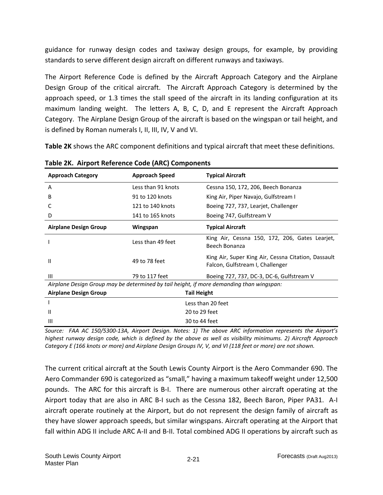guidance for runway design codes and taxiway design groups, for example, by providing standards to serve different design aircraft on different runways and taxiways.

The Airport Reference Code is defined by the Aircraft Approach Category and the Airplane Design Group of the critical aircraft. The Aircraft Approach Category is determined by the approach speed, or 1.3 times the stall speed of the aircraft in its landing configuration at its maximum landing weight. The letters A, B, C, D, and E represent the Aircraft Approach Category. The Airplane Design Group of the aircraft is based on the wingspan or tail height, and is defined by Roman numerals I, II, III, IV, V and VI.

**Table 2K** shows the ARC component definitions and typical aircraft that meet these definitions.

| <b>Approach Category</b>     | <b>Approach Speed</b> | <b>Typical Aircraft</b>                                                                  |
|------------------------------|-----------------------|------------------------------------------------------------------------------------------|
| A                            | Less than 91 knots    | Cessna 150, 172, 206, Beech Bonanza                                                      |
| B                            | 91 to 120 knots       | King Air, Piper Navajo, Gulfstream I                                                     |
|                              | 121 to 140 knots      | Boeing 727, 737, Learjet, Challenger                                                     |
| D                            | 141 to 165 knots      | Boeing 747, Gulfstream V                                                                 |
| <b>Airplane Design Group</b> | Wingspan              | <b>Typical Aircraft</b>                                                                  |
|                              | Less than 49 feet     | King Air, Cessna 150, 172, 206, Gates Learjet,<br>Beech Bonanza                          |
| $\mathsf{II}$                | 49 to 78 feet         | King Air, Super King Air, Cessna Citation, Dassault<br>Falcon, Gulfstream I, Challenger  |
| Ш                            | 79 to 117 feet        | Boeing 727, 737, DC-3, DC-6, Gulfstream V                                                |
|                              |                       | Airplane Design Group may be determined by tail height, if more demanding than wingspan: |
| <b>Airplane Design Group</b> | <b>Tail Height</b>    |                                                                                          |
|                              |                       | Less than 20 feet                                                                        |
| $\mathsf{II}$                |                       | 20 to 29 feet                                                                            |
| $\mathsf{III}$               |                       | 30 to 44 feet                                                                            |

**Table 2K. Airport Reference Code (ARC) Components**

Source: FAA AC 150/5300-13A, Airport Design. Notes: 1) The above ARC information represents the Airport's highest runway design code, which is defined by the above as well as visibility minimums. 2) Aircraft Approach Category E (166 knots or more) and Airplane Design Groups IV, V, and VI (118 feet or more) are not shown.

The current critical aircraft at the South Lewis County Airport is the Aero Commander 690. The Aero Commander 690 is categorized as "small," having a maximum takeoff weight under 12,500 pounds. The ARC for this aircraft is B-I. There are numerous other aircraft operating at the Airport today that are also in ARC B‐I such as the Cessna 182, Beech Baron, Piper PA31. A‐I aircraft operate routinely at the Airport, but do not represent the design family of aircraft as they have slower approach speeds, but similar wingspans. Aircraft operating at the Airport that fall within ADG II include ARC A-II and B-II. Total combined ADG II operations by aircraft such as